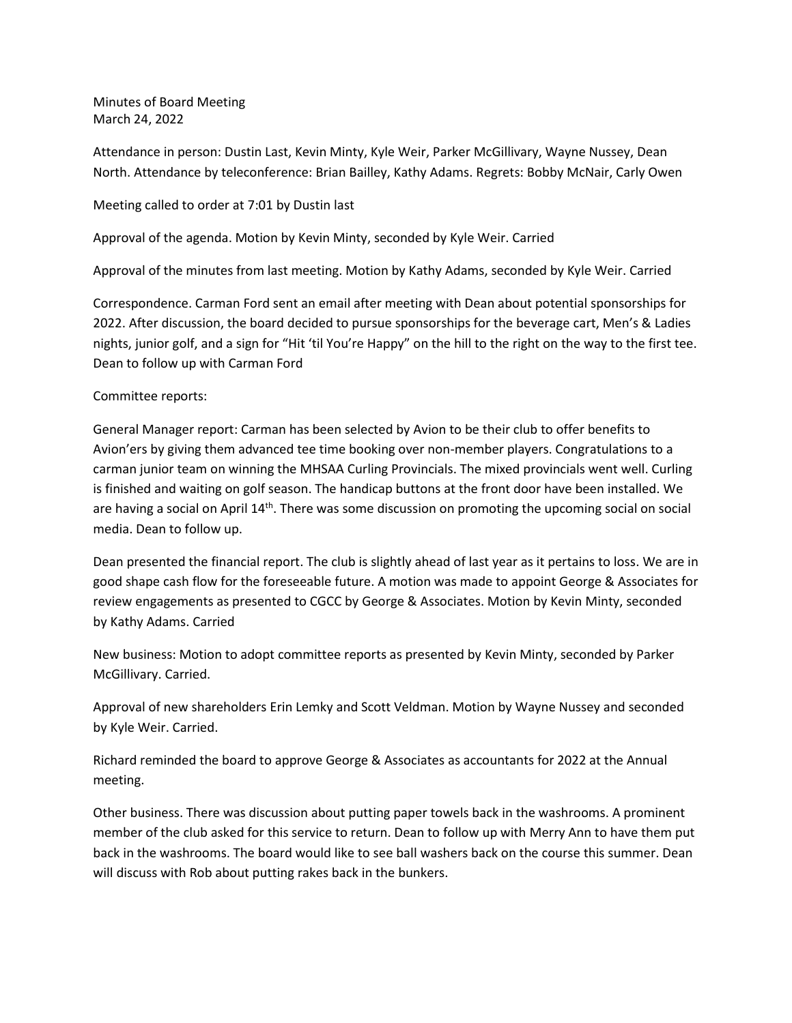Minutes of Board Meeting March 24, 2022

Attendance in person: Dustin Last, Kevin Minty, Kyle Weir, Parker McGillivary, Wayne Nussey, Dean North. Attendance by teleconference: Brian Bailley, Kathy Adams. Regrets: Bobby McNair, Carly Owen

Meeting called to order at 7:01 by Dustin last

Approval of the agenda. Motion by Kevin Minty, seconded by Kyle Weir. Carried

Approval of the minutes from last meeting. Motion by Kathy Adams, seconded by Kyle Weir. Carried

Correspondence. Carman Ford sent an email after meeting with Dean about potential sponsorships for 2022. After discussion, the board decided to pursue sponsorships for the beverage cart, Men's & Ladies nights, junior golf, and a sign for "Hit 'til You're Happy" on the hill to the right on the way to the first tee. Dean to follow up with Carman Ford

## Committee reports:

General Manager report: Carman has been selected by Avion to be their club to offer benefits to Avion'ers by giving them advanced tee time booking over non-member players. Congratulations to a carman junior team on winning the MHSAA Curling Provincials. The mixed provincials went well. Curling is finished and waiting on golf season. The handicap buttons at the front door have been installed. We are having a social on April 14<sup>th</sup>. There was some discussion on promoting the upcoming social on social media. Dean to follow up.

Dean presented the financial report. The club is slightly ahead of last year as it pertains to loss. We are in good shape cash flow for the foreseeable future. A motion was made to appoint George & Associates for review engagements as presented to CGCC by George & Associates. Motion by Kevin Minty, seconded by Kathy Adams. Carried

New business: Motion to adopt committee reports as presented by Kevin Minty, seconded by Parker McGillivary. Carried.

Approval of new shareholders Erin Lemky and Scott Veldman. Motion by Wayne Nussey and seconded by Kyle Weir. Carried.

Richard reminded the board to approve George & Associates as accountants for 2022 at the Annual meeting.

Other business. There was discussion about putting paper towels back in the washrooms. A prominent member of the club asked for this service to return. Dean to follow up with Merry Ann to have them put back in the washrooms. The board would like to see ball washers back on the course this summer. Dean will discuss with Rob about putting rakes back in the bunkers.